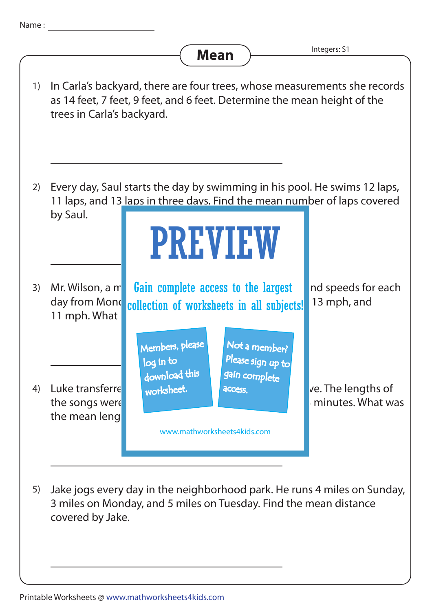